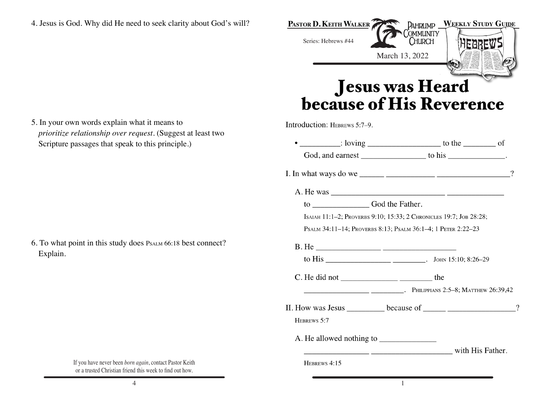**PASTOR D. KEITH WALKER PAHRUMP** WEEKLY STUDY GUIDE OMMUNITY Series: Hebrews #44 CHURCH March 13, 2022 Jesus was Heard<br>because of His Reverence Introduction: HEBREWS 5:7-9.

5. In your own words explain what it means to *prioritize relationship over request*. (Suggest at least two Scripture passages that speak to this principle.)

6. To what point in this study does PSALM 66:18 best connect? Explain.

|                                                                                  |                                            | $\frac{1}{\sqrt{1-\frac{1}{2}}}\cdot \frac{1}{\sqrt{1-\frac{1}{2}}}\cdot \frac{1}{\sqrt{1-\frac{1}{2}}}\cdot \frac{1}{\sqrt{1-\frac{1}{2}}}\cdot \frac{1}{\sqrt{1-\frac{1}{2}}}\cdot \frac{1}{\sqrt{1-\frac{1}{2}}}\cdot \frac{1}{\sqrt{1-\frac{1}{2}}}\cdot \frac{1}{\sqrt{1-\frac{1}{2}}}\cdot \frac{1}{\sqrt{1-\frac{1}{2}}}\cdot \frac{1}{\sqrt{1-\frac{1}{2}}}\cdot \frac{1}{\sqrt{1-\frac{1}{2}}}\cdot \frac{1}{\sqrt{1-\frac{1}{2}}}\cdot \frac{1$ |          |
|----------------------------------------------------------------------------------|--------------------------------------------|-----------------------------------------------------------------------------------------------------------------------------------------------------------------------------------------------------------------------------------------------------------------------------------------------------------------------------------------------------------------------------------------------------------------------------------------------------------|----------|
|                                                                                  |                                            |                                                                                                                                                                                                                                                                                                                                                                                                                                                           |          |
|                                                                                  |                                            |                                                                                                                                                                                                                                                                                                                                                                                                                                                           |          |
|                                                                                  |                                            |                                                                                                                                                                                                                                                                                                                                                                                                                                                           |          |
|                                                                                  | to ________________________God the Father. |                                                                                                                                                                                                                                                                                                                                                                                                                                                           |          |
|                                                                                  |                                            | ISAIAH 11:1-2; PROVERBS 9:10; 15:33; 2 CHRONICLES 19:7; JOB 28:28;                                                                                                                                                                                                                                                                                                                                                                                        |          |
|                                                                                  |                                            | PSALM 34:11-14; PROVERBS 8:13; PSALM 36:1-4; 1 PETER 2:22-23                                                                                                                                                                                                                                                                                                                                                                                              |          |
|                                                                                  |                                            |                                                                                                                                                                                                                                                                                                                                                                                                                                                           |          |
|                                                                                  |                                            |                                                                                                                                                                                                                                                                                                                                                                                                                                                           |          |
| $C.$ He did not $\_\_\_\_\_\_\_\_\_\_\_\_\_\_\_\_\_\_\_\_\_\_\_\_\_\_\_\_\_$ the |                                            |                                                                                                                                                                                                                                                                                                                                                                                                                                                           |          |
|                                                                                  |                                            | PHILIPPIANS 2:5–8; MATTHEW 26:39,42                                                                                                                                                                                                                                                                                                                                                                                                                       |          |
|                                                                                  |                                            |                                                                                                                                                                                                                                                                                                                                                                                                                                                           | $\gamma$ |
| HEBREWS 5:7                                                                      |                                            |                                                                                                                                                                                                                                                                                                                                                                                                                                                           |          |
|                                                                                  |                                            |                                                                                                                                                                                                                                                                                                                                                                                                                                                           |          |
|                                                                                  |                                            | with His Father.                                                                                                                                                                                                                                                                                                                                                                                                                                          |          |
| HEBREWS 4:15                                                                     |                                            |                                                                                                                                                                                                                                                                                                                                                                                                                                                           |          |
|                                                                                  |                                            |                                                                                                                                                                                                                                                                                                                                                                                                                                                           |          |

If you have never been *born again*, contact Pastor Keith or a trusted Christian friend this week to find out how.